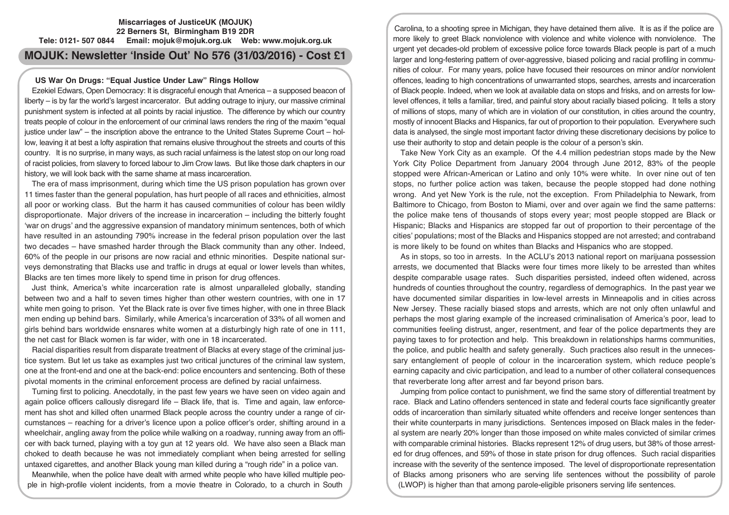## **Miscarriages of JusticeUK (MOJUK) 22 Berners St, Birmingham B19 2DR Tele: 0121- 507 0844 Email: mojuk@mojuk.org.uk Web: www.mojuk.org.uk**

**MOJUK: Newsletter 'Inside Out' No 576 (31/03/2016) - Cost £1**

# **US War On Drugs: "Equal Justice Under Law" Rings Hollow**

Ezekiel Edwars, Open Democracy: It is disgraceful enough that America – a supposed beacon of liberty – is by far the world's largest incarcerator. But adding outrage to injury, our massive criminal punishment system is infected at all points by racial injustice. The difference by which our country treats people of colour in the enforcement of our criminal laws renders the ring of the maxim "equal justice under law" – the inscription above the entrance to the United States Supreme Court – hollow, leaving it at best a lofty aspiration that remains elusive throughout the streets and courts of this country. It is no surprise, in many ways, as such racial unfairness is the latest stop on our long road of racist policies, from slavery to forced labour to Jim Crow laws. But like those dark chapters in our history, we will look back with the same shame at mass incarceration.

The era of mass imprisonment, during which time the US prison population has grown over 11 times faster than the general population, has hurt people of all races and ethnicities, almost all poor or working class. But the harm it has caused communities of colour has been wildly disproportionate. Major drivers of the increase in incarceration – including the bitterly fought 'war on drugs' and the aggressive expansion of mandatory minimum sentences, both of which have resulted in an astounding 790% increase in the federal prison population over the last two decades – have smashed harder through the Black community than any other. Indeed, 60% of the people in our prisons are now racial and ethnic minorities. Despite national surveys demonstrating that Blacks use and traffic in drugs at equal or lower levels than whites, Blacks are ten times more likely to spend time in prison for drug offences.

Just think, America's white incarceration rate is almost unparalleled globally, standing between two and a half to seven times higher than other western countries, with one in 17 white men going to prison. Yet the Black rate is over five times higher, with one in three Black men ending up behind bars. Similarly, while America's incarceration of 33% of all women and girls behind bars worldwide ensnares white women at a disturbingly high rate of one in 111, the net cast for Black women is far wider, with one in 18 incarcerated.

Racial disparities result from disparate treatment of Blacks at every stage of the criminal justice system. But let us take as examples just two critical junctures of the criminal law system, one at the front-end and one at the back-end: police encounters and sentencing. Both of these pivotal moments in the criminal enforcement process are defined by racial unfairness.

Turning first to policing. Anecdotally, in the past few years we have seen on video again and again police officers callously disregard life – Black life, that is. Time and again, law enforcement has shot and killed often unarmed Black people across the country under a range of circumstances – reaching for a driver's licence upon a police officer's order, shifting around in a wheelchair, angling away from the police while walking on a roadway, running away from an officer with back turned, playing with a toy gun at 12 years old. We have also seen a Black man choked to death because he was not immediately compliant when being arrested for selling untaxed cigarettes, and another Black young man killed during a "rough ride" in a police van.

Meanwhile, when the police have dealt with armed white people who have killed multiple people in high-profile violent incidents, from a movie theatre in Colorado, to a church in South

Carolina, to a shooting spree in Michigan, they have detained them alive. It is as if the police are more likely to greet Black nonviolence with violence and white violence with nonviolence. The urgent yet decades-old problem of excessive police force towards Black people is part of a much larger and long-festering pattern of over-aggressive, biased policing and racial profiling in communities of colour. For many years, police have focused their resources on minor and/or nonviolent offences, leading to high concentrations of unwarranted stops, searches, arrests and incarceration of Black people. Indeed, when we look at available data on stops and frisks, and on arrests for lowlevel offences, it tells a familiar, tired, and painful story about racially biased policing. It tells a story of millions of stops, many of which are in violation of our constitution, in cities around the country, mostly of innocent Blacks and Hispanics, far out of proportion to their population. Everywhere such data is analysed, the single most important factor driving these discretionary decisions by police to use their authority to stop and detain people is the colour of a person's skin.

Take New York City as an example. Of the 4.4 million pedestrian stops made by the New York City Police Department from January 2004 through June 2012, 83% of the people stopped were African-American or Latino and only 10% were white. In over nine out of ten stops, no further police action was taken, because the people stopped had done nothing wrong. And yet New York is the rule, not the exception. From Philadelphia to Newark, from Baltimore to Chicago, from Boston to Miami, over and over again we find the same patterns: the police make tens of thousands of stops every year; most people stopped are Black or Hispanic; Blacks and Hispanics are stopped far out of proportion to their percentage of the cities' populations; most of the Blacks and Hispanics stopped are not arrested; and contraband is more likely to be found on whites than Blacks and Hispanics who are stopped.

As in stops, so too in arrests. In the ACLU's 2013 national report on marijuana possession arrests, we documented that Blacks were four times more likely to be arrested than whites despite comparable usage rates. Such disparities persisted, indeed often widened, across hundreds of counties throughout the country, regardless of demographics. In the past year we have documented similar disparities in low-level arrests in Minneapolis and in cities across New Jersey. These racially biased stops and arrests, which are not only often unlawful and perhaps the most glaring example of the increased criminalisation of America's poor, lead to communities feeling distrust, anger, resentment, and fear of the police departments they are paying taxes to for protection and help. This breakdown in relationships harms communities, the police, and public health and safety generally. Such practices also result in the unnecessary entanglement of people of colour in the incarceration system, which reduce people's earning capacity and civic participation, and lead to a number of other collateral consequences that reverberate long after arrest and far beyond prison bars.

Jumping from police contact to punishment, we find the same story of differential treatment by race. Black and Latino offenders sentenced in state and federal courts face significantly greater odds of incarceration than similarly situated white offenders and receive longer sentences than their white counterparts in many jurisdictions. Sentences imposed on Black males in the federal system are nearly 20% longer than those imposed on white males convicted of similar crimes with comparable criminal histories. Blacks represent 12% of drug users, but 38% of those arrested for drug offences, and 59% of those in state prison for drug offences. Such racial disparities increase with the severity of the sentence imposed. The level of disproportionate representation of Blacks among prisoners who are serving life sentences without the possibility of parole (LWOP) is higher than that among parole-eligible prisoners serving life sentences.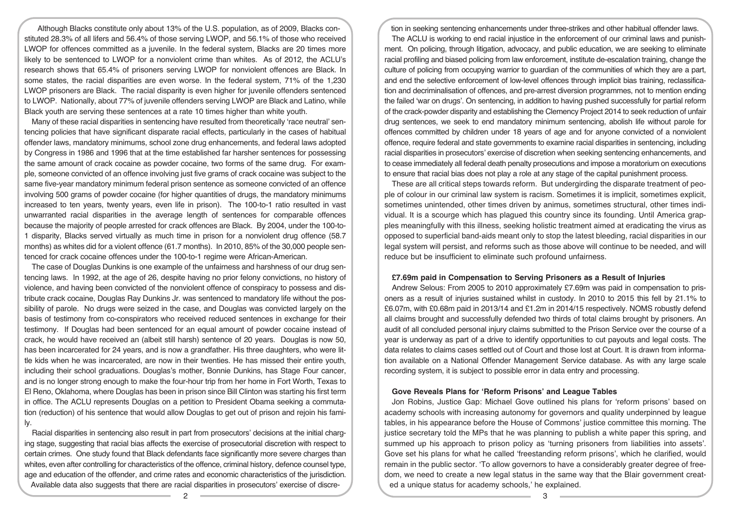Although Blacks constitute only about 13% of the U.S. population, as of 2009, Blacks constituted 28.3% of all lifers and 56.4% of those serving LWOP, and 56.1% of those who received LWOP for offences committed as a juvenile. In the federal system, Blacks are 20 times more likely to be sentenced to LWOP for a nonviolent crime than whites. As of 2012, the ACLU's research shows that 65.4% of prisoners serving LWOP for nonviolent offences are Black. In some states, the racial disparities are even worse. In the federal system, 71% of the 1,230 LWOP prisoners are Black. The racial disparity is even higher for juvenile offenders sentenced to LWOP. Nationally, about 77% of juvenile offenders serving LWOP are Black and Latino, while Black youth are serving these sentences at a rate 10 times higher than white youth.

Many of these racial disparities in sentencing have resulted from theoretically 'race neutral' sentencing policies that have significant disparate racial effects, particularly in the cases of habitual offender laws, mandatory minimums, school zone drug enhancements, and federal laws adopted by Congress in 1986 and 1996 that at the time established far harsher sentences for possessing the same amount of crack cocaine as powder cocaine, two forms of the same drug. For example, someone convicted of an offence involving just five grams of crack cocaine was subject to the same five-year mandatory minimum federal prison sentence as someone convicted of an offence involving 500 grams of powder cocaine (for higher quantities of drugs, the mandatory minimums increased to ten years, twenty years, even life in prison). The 100-to-1 ratio resulted in vast unwarranted racial disparities in the average length of sentences for comparable offences because the majority of people arrested for crack offences are Black. By 2004, under the 100-to-1 disparity, Blacks served virtually as much time in prison for a nonviolent drug offence (58.7 months) as whites did for a violent offence (61.7 months). In 2010, 85% of the 30,000 people sentenced for crack cocaine offences under the 100-to-1 regime were African-American.

The case of Douglas Dunkins is one example of the unfairness and harshness of our drug sentencing laws. In 1992, at the age of 26, despite having no prior felony convictions, no history of violence, and having been convicted of the nonviolent offence of conspiracy to possess and distribute crack cocaine, Douglas Ray Dunkins Jr. was sentenced to mandatory life without the possibility of parole. No drugs were seized in the case, and Douglas was convicted largely on the basis of testimony from co-conspirators who received reduced sentences in exchange for their testimony. If Douglas had been sentenced for an equal amount of powder cocaine instead of crack, he would have received an (albeit still harsh) sentence of 20 years. Douglas is now 50, has been incarcerated for 24 years, and is now a grandfather. His three daughters, who were little kids when he was incarcerated, are now in their twenties. He has missed their entire youth, including their school graduations. Douglas's mother, Bonnie Dunkins, has Stage Four cancer, and is no longer strong enough to make the four-hour trip from her home in Fort Worth, Texas to El Reno, Oklahoma, where Douglas has been in prison since Bill Clinton was starting his first term in office. The ACLU represents Douglas on a petition to President Obama seeking a commutation (reduction) of his sentence that would allow Douglas to get out of prison and rejoin his family.

Racial disparities in sentencing also result in part from prosecutors' decisions at the initial charging stage, suggesting that racial bias affects the exercise of prosecutorial discretion with respect to certain crimes. One study found that Black defendants face significantly more severe charges than whites, even after controlling for characteristics of the offence, criminal history, defence counsel type, age and education of the offender, and crime rates and economic characteristics of the jurisdiction. Available data also suggests that there are racial disparities in prosecutors' exercise of discre-

tion in seeking sentencing enhancements under three-strikes and other habitual offender laws. The ACLU is working to end racial injustice in the enforcement of our criminal laws and punishment. On policing, through litigation, advocacy, and public education, we are seeking to eliminate racial profiling and biased policing from law enforcement, institute de-escalation training, change the culture of policing from occupying warrior to guardian of the communities of which they are a part, and end the selective enforcement of low-level offences through implicit bias training, reclassification and decriminalisation of offences, and pre-arrest diversion programmes, not to mention ending the failed 'war on drugs'. On sentencing, in addition to having pushed successfully for partial reform of the crack-powder disparity and establishing the Clemency Project 2014 to seek reduction of unfair drug sentences, we seek to end mandatory minimum sentencing, abolish life without parole for offences committed by children under 18 years of age and for anyone convicted of a nonviolent offence, require federal and state governments to examine racial disparities in sentencing, including racial disparities in prosecutors' exercise of discretion when seeking sentencing enhancements, and to cease immediately all federal death penalty prosecutions and impose a moratorium on executions to ensure that racial bias does not play a role at any stage of the capital punishment process.

These are all critical steps towards reform. But undergirding the disparate treatment of people of colour in our criminal law system is racism. Sometimes it is implicit, sometimes explicit, sometimes unintended, other times driven by animus, sometimes structural, other times individual. It is a scourge which has plagued this country since its founding. Until America grapples meaningfully with this illness, seeking holistic treatment aimed at eradicating the virus as opposed to superficial band-aids meant only to stop the latest bleeding, racial disparities in our legal system will persist, and reforms such as those above will continue to be needed, and will reduce but be insufficient to eliminate such profound unfairness.

## **£7.69m paid in Compensation to Serving Prisoners as a Result of Injuries**

Andrew Selous: From 2005 to 2010 approximately £7.69m was paid in compensation to prisoners as a result of injuries sustained whilst in custody. In 2010 to 2015 this fell by 21.1% to £6.07m, with £0.68m paid in 2013/14 and £1.2m in 2014/15 respectively. NOMS robustly defend all claims brought and successfully defended two thirds of total claims brought by prisoners. An audit of all concluded personal injury claims submitted to the Prison Service over the course of a year is underway as part of a drive to identify opportunities to cut payouts and legal costs. The data relates to claims cases settled out of Court and those lost at Court. It is drawn from information available on a National Offender Management Service database. As with any large scale recording system, it is subject to possible error in data entry and processing.

## **Gove Reveals Plans for 'Reform Prisons' and League Tables**

Jon Robins, Justice Gap: Michael Gove outlined his plans for 'reform prisons' based on academy schools with increasing autonomy for governors and quality underpinned by league tables, in his appearance before the House of Commons' justice committee this morning. The justice secretary told the MPs that he was planning to publish a white paper this spring, and summed up his approach to prison policy as 'turning prisoners from liabilities into assets'. Gove set his plans for what he called 'freestanding reform prisons', which he clarified, would remain in the public sector. 'To allow governors to have a considerably greater degree of freedom, we need to create a new legal status in the same way that the Blair government created a unique status for academy schools,' he explained.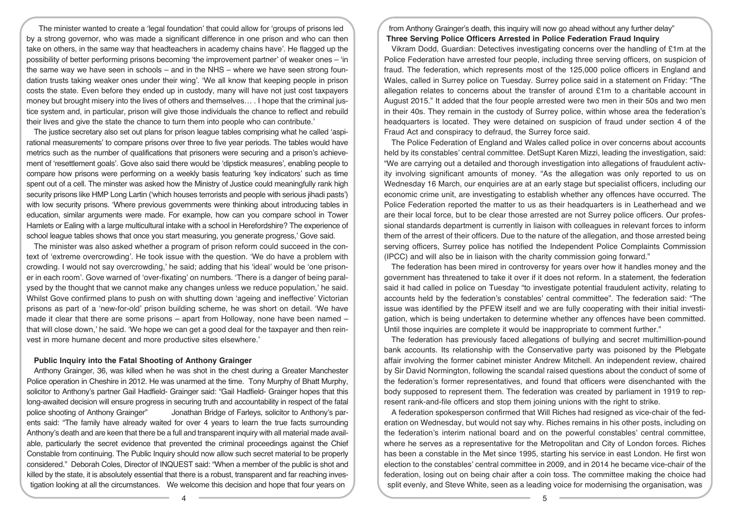The minister wanted to create a 'legal foundation' that could allow for 'groups of prisons led by a strong governor, who was made a significant difference in one prison and who can then take on others, in the same way that headteachers in academy chains have'. He flagged up the possibility of better performing prisons becoming 'the improvement partner' of weaker ones – 'in the same way we have seen in schools – and in the NHS – where we have seen strong foundation trusts taking weaker ones under their wing'. 'We all know that keeping people in prison costs the state. Even before they ended up in custody, many will have not just cost taxpayers money but brought misery into the lives of others and themselves… . I hope that the criminal justice system and, in particular, prison will give those individuals the chance to reflect and rebuild their lives and give the state the chance to turn them into people who can contribute.'

The justice secretary also set out plans for prison league tables comprising what he called 'aspirational measurements' to compare prisons over three to five year periods. The tables would have metrics such as the number of qualifications that prisoners were securing and a prison's achievement of 'resettlement goals'. Gove also said there would be 'dipstick measures', enabling people to compare how prisons were performing on a weekly basis featuring 'key indicators' such as time spent out of a cell. The minster was asked how the Ministry of Justice could meaningfully rank high security prisons like HMP Long Lartin ('which houses terrorists and people with serious jihadi pasts') with low security prisons. 'Where previous governments were thinking about introducing tables in education, similar arguments were made. For example, how can you compare school in Tower Hamlets or Ealing with a large multicultural intake with a school in Herefordshire? The experience of school league tables shows that once you start measuring, you generate progress,' Gove said.

The minister was also asked whether a program of prison reform could succeed in the context of 'extreme overcrowding'. He took issue with the question. 'We do have a problem with crowding. I would not say overcrowding,' he said; adding that his 'ideal' would be 'one prisoner in each room'. Gove warned of 'over-fixating' on numbers. 'There is a danger of being paralysed by the thought that we cannot make any changes unless we reduce population,' he said. Whilst Gove confirmed plans to push on with shutting down 'ageing and ineffective' Victorian prisons as part of a 'new-for-old' prison building scheme, he was short on detail. 'We have made it clear that there are some prisons – apart from Holloway, none have been named – that will close down,' he said. 'We hope we can get a good deal for the taxpayer and then reinvest in more humane decent and more productive sites elsewhere.'

#### **Public Inquiry into the Fatal Shooting of Anthony Grainger**

Anthony Grainger, 36, was killed when he was shot in the chest during a Greater Manchester Police operation in Cheshire in 2012. He was unarmed at the time. Tony Murphy of Bhatt Murphy, solicitor to Anthony's partner Gail Hadfield- Grainger said: "Gail Hadfield- Grainger hopes that this long-awaited decision will ensure progress in securing truth and accountability in respect of the fatal police shooting of Anthony Grainger" Jonathan Bridge of Farleys, solicitor to Anthony's parents said: "The family have already waited for over 4 years to learn the true facts surrounding Anthony's death and are keen that there be a full and transparent inquiry with all material made available, particularly the secret evidence that prevented the criminal proceedings against the Chief Constable from continuing. The Public Inquiry should now allow such secret material to be properly considered." Deborah Coles, Director of INQUEST said: "When a member of the public is shot and killed by the state, it is absolutely essential that there is a robust, transparent and far reaching investigation looking at all the circumstances. We welcome this decision and hope that four years on

# from Anthony Grainger's death, this inquiry will now go ahead without any further delay" **Three Serving Police Officers Arrested in Police Federation Fraud Inquiry**

Vikram Dodd, Guardian: Detectives investigating concerns over the handling of £1m at the Police Federation have arrested four people, including three serving officers, on suspicion of fraud. The federation, which represents most of the 125,000 police officers in England and Wales, called in Surrey police on Tuesday. Surrey police said in a statement on Friday: "The allegation relates to concerns about the transfer of around £1m to a charitable account in August 2015." It added that the four people arrested were two men in their 50s and two men in their 40s. They remain in the custody of Surrey police, within whose area the federation's headquarters is located. They were detained on suspicion of fraud under section 4 of the Fraud Act and conspiracy to defraud, the Surrey force said.

The Police Federation of England and Wales called police in over concerns about accounts held by its constables' central committee. DetSupt Karen Mizzi, leading the investigation, said: "We are carrying out a detailed and thorough investigation into allegations of fraudulent activity involving significant amounts of money. "As the allegation was only reported to us on Wednesday 16 March, our enquiries are at an early stage but specialist officers, including our economic crime unit, are investigating to establish whether any offences have occurred. The Police Federation reported the matter to us as their headquarters is in Leatherhead and we are their local force, but to be clear those arrested are not Surrey police officers. Our professional standards department is currently in liaison with colleagues in relevant forces to inform them of the arrest of their officers. Due to the nature of the allegation, and those arrested being serving officers, Surrey police has notified the Independent Police Complaints Commission (IPCC) and will also be in liaison with the charity commission going forward."

The federation has been mired in controversy for years over how it handles money and the government has threatened to take it over if it does not reform. In a statement, the federation said it had called in police on Tuesday "to investigate potential fraudulent activity, relating to accounts held by the federation's constables' central committee". The federation said: "The issue was identified by the PFEW itself and we are fully cooperating with their initial investigation, which is being undertaken to determine whether any offences have been committed. Until those inquiries are complete it would be inappropriate to comment further."

The federation has previously faced allegations of bullying and secret multimillion-pound bank accounts. Its relationship with the Conservative party was poisoned by the Plebgate affair involving the former cabinet minister Andrew Mitchell. An independent review, chaired by Sir David Normington, following the scandal raised questions about the conduct of some of the federation's former representatives, and found that officers were disenchanted with the body supposed to represent them. The federation was created by parliament in 1919 to represent rank-and-file officers and stop them joining unions with the right to strike.

A federation spokesperson confirmed that Will Riches had resigned as vice-chair of the federation on Wednesday, but would not say why. Riches remains in his other posts, including on the federation's interim national board and on the powerful constables' central committee, where he serves as a representative for the Metropolitan and City of London forces. Riches has been a constable in the Met since 1995, starting his service in east London. He first won election to the constables' central committee in 2009, and in 2014 he became vice-chair of the federation, losing out on being chair after a coin toss. The committee making the choice had split evenly, and Steve White, seen as a leading voice for modernising the organisation, was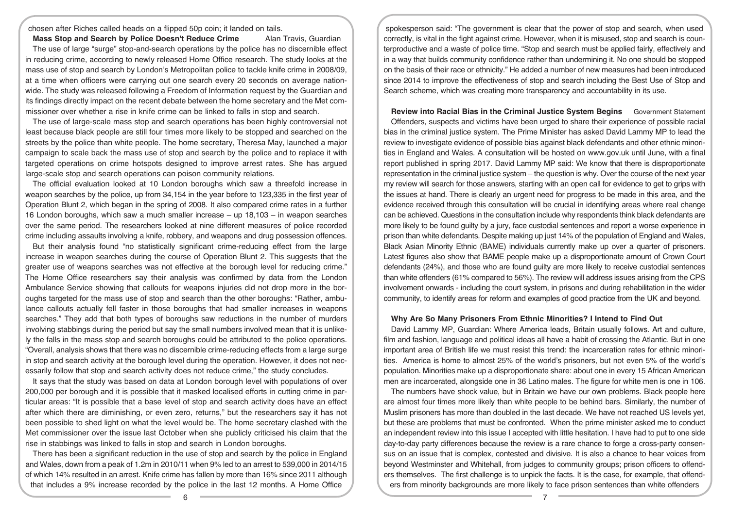chosen after Riches called heads on a flipped 50p coin; it landed on tails.

**Mass Stop and Search by Police Doesn't Reduce Crime** Alan Travis, Guardian The use of large "surge" stop-and-search operations by the police has no discernible effect in reducing crime, according to newly released Home Office research. The study looks at the mass use of stop and search by London's Metropolitan police to tackle knife crime in 2008/09, at a time when officers were carrying out one search every 20 seconds on average nationwide. The study was released following a Freedom of Information request by the Guardian and its findings directly impact on the recent debate between the home secretary and the Met commissioner over whether a rise in knife crime can be linked to falls in stop and search.

The use of large-scale mass stop and search operations has been highly controversial not least because black people are still four times more likely to be stopped and searched on the streets by the police than white people. The home secretary, Theresa May, launched a major campaign to scale back the mass use of stop and search by the police and to replace it with targeted operations on crime hotspots designed to improve arrest rates. She has argued large-scale stop and search operations can poison community relations.

The official evaluation looked at 10 London boroughs which saw a threefold increase in weapon searches by the police, up from 34,154 in the year before to 123,335 in the first year of Operation Blunt 2, which began in the spring of 2008. It also compared crime rates in a further 16 London boroughs, which saw a much smaller increase – up 18,103 – in weapon searches over the same period. The researchers looked at nine different measures of police recorded crime including assaults involving a knife, robbery, and weapons and drug possession offences.

But their analysis found "no statistically significant crime-reducing effect from the large increase in weapon searches during the course of Operation Blunt 2. This suggests that the greater use of weapons searches was not effective at the borough level for reducing crime." The Home Office researchers say their analysis was confirmed by data from the London Ambulance Service showing that callouts for weapons injuries did not drop more in the boroughs targeted for the mass use of stop and search than the other boroughs: "Rather, ambulance callouts actually fell faster in those boroughs that had smaller increases in weapons searches." They add that both types of boroughs saw reductions in the number of murders involving stabbings during the period but say the small numbers involved mean that it is unlikely the falls in the mass stop and search boroughs could be attributed to the police operations. "Overall, analysis shows that there was no discernible crime-reducing effects from a large surge in stop and search activity at the borough level during the operation. However, it does not necessarily follow that stop and search activity does not reduce crime," the study concludes.

It says that the study was based on data at London borough level with populations of over 200,000 per borough and it is possible that it masked localised efforts in cutting crime in particular areas: "It is possible that a base level of stop and search activity does have an effect after which there are diminishing, or even zero, returns," but the researchers say it has not been possible to shed light on what the level would be. The home secretary clashed with the Met commissioner over the issue last October when she publicly criticised his claim that the rise in stabbings was linked to falls in stop and search in London boroughs.

There has been a significant reduction in the use of stop and search by the police in England and Wales, down from a peak of 1.2m in 2010/11 when 9% led to an arrest to 539,000 in 2014/15 of which 14% resulted in an arrest. Knife crime has fallen by more than 16% since 2011 although that includes a 9% increase recorded by the police in the last 12 months. A Home Office

spokesperson said: "The government is clear that the power of stop and search, when used correctly, is vital in the fight against crime. However, when it is misused, stop and search is counterproductive and a waste of police time. "Stop and search must be applied fairly, effectively and in a way that builds community confidence rather than undermining it. No one should be stopped on the basis of their race or ethnicity." He added a number of new measures had been introduced since 2014 to improve the effectiveness of stop and search including the Best Use of Stop and Search scheme, which was creating more transparency and accountability in its use.

**Review into Racial Bias in the Criminal Justice System Begins** Government Statement Offenders, suspects and victims have been urged to share their experience of possible racial bias in the criminal justice system. The Prime Minister has asked David Lammy MP to lead the review to investigate evidence of possible bias against black defendants and other ethnic minorities in England and Wales. A consultation will be hosted on www.gov.uk until June, with a final report published in spring 2017. David Lammy MP said: We know that there is disproportionate representation in the criminal justice system – the question is why. Over the course of the next year my review will search for those answers, starting with an open call for evidence to get to grips with the issues at hand. There is clearly an urgent need for progress to be made in this area, and the evidence received through this consultation will be crucial in identifying areas where real change can be achieved. Questions in the consultation include why respondents think black defendants are more likely to be found guilty by a jury, face custodial sentences and report a worse experience in prison than white defendants. Despite making up just 14% of the population of England and Wales, Black Asian Minority Ethnic (BAME) individuals currently make up over a quarter of prisoners. Latest figures also show that BAME people make up a disproportionate amount of Crown Court defendants (24%), and those who are found guilty are more likely to receive custodial sentences than white offenders (61% compared to 56%). The review will address issues arising from the CPS involvement onwards - including the court system, in prisons and during rehabilitation in the wider community, to identify areas for reform and examples of good practice from the UK and beyond.

# **Why Are So Many Prisoners From Ethnic Minorities? I Intend to Find Out**

David Lammy MP, Guardian: Where America leads, Britain usually follows. Art and culture, film and fashion, language and political ideas all have a habit of crossing the Atlantic. But in one important area of British life we must resist this trend: the incarceration rates for ethnic minorities. America is home to almost 25% of the world's prisoners, but not even 5% of the world's population. Minorities make up a disproportionate share: about one in every 15 African American men are incarcerated, alongside one in 36 Latino males. The figure for white men is one in 106.

The numbers have shock value, but in Britain we have our own problems. Black people here are almost four times more likely than white people to be behind bars. Similarly, the number of Muslim prisoners has more than doubled in the last decade. We have not reached US levels yet, but these are problems that must be confronted. When the prime minister asked me to conduct an independent review into this issue I accepted with little hesitation. I have had to put to one side day-to-day party differences because the review is a rare chance to forge a cross-party consensus on an issue that is complex, contested and divisive. It is also a chance to hear voices from beyond Westminster and Whitehall, from judges to community groups; prison officers to offenders themselves. The first challenge is to unpick the facts. It is the case, for example, that offenders from minority backgrounds are more likely to face prison sentences than white offenders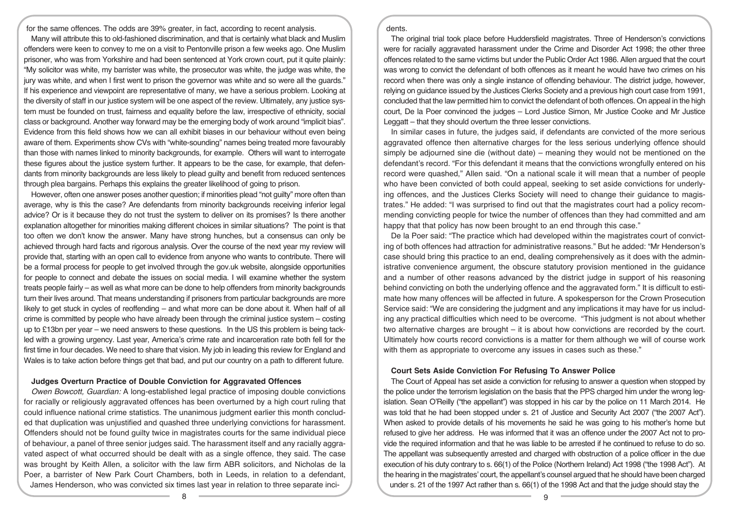for the same offences. The odds are 39% greater, in fact, according to recent analysis. Many will attribute this to old-fashioned discrimination, and that is certainly what black and Muslim offenders were keen to convey to me on a visit to Pentonville prison a few weeks ago. One Muslim prisoner, who was from Yorkshire and had been sentenced at York crown court, put it quite plainly: "My solicitor was white, my barrister was white, the prosecutor was white, the judge was white, the jury was white, and when I first went to prison the governor was white and so were all the guards." If his experience and viewpoint are representative of many, we have a serious problem. Looking at the diversity of staff in our justice system will be one aspect of the review. Ultimately, any justice system must be founded on trust, fairness and equality before the law, irrespective of ethnicity, social class or background. Another way forward may be the emerging body of work around "implicit bias". Evidence from this field shows how we can all exhibit biases in our behaviour without even being aware of them. Experiments show CVs with "white-sounding" names being treated more favourably than those with names linked to minority backgrounds, for example. Others will want to interrogate these figures about the justice system further. It appears to be the case, for example, that defendants from minority backgrounds are less likely to plead guilty and benefit from reduced sentences through plea bargains. Perhaps this explains the greater likelihood of going to prison.

However, often one answer poses another question; if minorities plead "not guilty" more often than average, why is this the case? Are defendants from minority backgrounds receiving inferior legal advice? Or is it because they do not trust the system to deliver on its promises? Is there another explanation altogether for minorities making different choices in similar situations? The point is that too often we don't know the answer. Many have strong hunches, but a consensus can only be achieved through hard facts and rigorous analysis. Over the course of the next year my review will provide that, starting with an open call to evidence from anyone who wants to contribute. There will be a formal process for people to get involved through the gov.uk website, alongside opportunities for people to connect and debate the issues on social media. I will examine whether the system treats people fairly – as well as what more can be done to help offenders from minority backgrounds turn their lives around. That means understanding if prisoners from particular backgrounds are more likely to get stuck in cycles of reoffending – and what more can be done about it. When half of all crime is committed by people who have already been through the criminal justice system – costing up to £13bn per year – we need answers to these questions. In the US this problem is being tackled with a growing urgency. Last year, America's crime rate and incarceration rate both fell for the first time in four decades. We need to share that vision. My job in leading this review for England and Wales is to take action before things get that bad, and put our country on a path to different future.

# **Judges Overturn Practice of Double Conviction for Aggravated Offences**

*Owen Bowcott, Guardian:* A long-established legal practice of imposing double convictions for racially or religiously aggravated offences has been overturned by a high court ruling that could influence national crime statistics. The unanimous judgment earlier this month concluded that duplication was unjustified and quashed three underlying convictions for harassment. Offenders should not be found guilty twice in magistrates courts for the same individual piece of behaviour, a panel of three senior judges said. The harassment itself and any racially aggravated aspect of what occurred should be dealt with as a single offence, they said. The case was brought by Keith Allen, a solicitor with the law firm ABR solicitors, and Nicholas de la Poer, a barrister of New Park Court Chambers, both in Leeds, in relation to a defendant, James Henderson, who was convicted six times last year in relation to three separate inci-

#### dents.

The original trial took place before Huddersfield magistrates. Three of Henderson's convictions were for racially aggravated harassment under the Crime and Disorder Act 1998; the other three offences related to the same victims but under the Public Order Act 1986. Allen argued that the court was wrong to convict the defendant of both offences as it meant he would have two crimes on his record when there was only a single instance of offending behaviour. The district judge, however, relying on guidance issued by the Justices Clerks Society and a previous high court case from 1991, concluded that the law permitted him to convict the defendant of both offences. On appeal in the high court, De la Poer convinced the judges – Lord Justice Simon, Mr Justice Cooke and Mr Justice Leggatt – that they should overturn the three lesser convictions.

In similar cases in future, the judges said, if defendants are convicted of the more serious aggravated offence then alternative charges for the less serious underlying offence should simply be adjourned sine die (without date) – meaning they would not be mentioned on the defendant's record. "For this defendant it means that the convictions wrongfully entered on his record were quashed," Allen said. "On a national scale it will mean that a number of people who have been convicted of both could appeal, seeking to set aside convictions for underlying offences, and the Justices Clerks Society will need to change their guidance to magistrates." He added: "I was surprised to find out that the magistrates court had a policy recommending convicting people for twice the number of offences than they had committed and am happy that that policy has now been brought to an end through this case."

De la Poer said: "The practice which had developed within the magistrates court of convicting of both offences had attraction for administrative reasons." But he added: "Mr Henderson's case should bring this practice to an end, dealing comprehensively as it does with the administrative convenience argument, the obscure statutory provision mentioned in the guidance and a number of other reasons advanced by the district judge in support of his reasoning behind convicting on both the underlying offence and the aggravated form." It is difficult to estimate how many offences will be affected in future. A spokesperson for the Crown Prosecution Service said: "We are considering the judgment and any implications it may have for us including any practical difficulties which need to be overcome. "This judgment is not about whether two alternative charges are brought – it is about how convictions are recorded by the court. Ultimately how courts record convictions is a matter for them although we will of course work with them as appropriate to overcome any issues in cases such as these."

## **Court Sets Aside Conviction For Refusing To Answer Police**

The Court of Appeal has set aside a conviction for refusing to answer a question when stopped by the police under the terrorism legislation on the basis that the PPS charged him under the wrong legislation. Sean O'Reilly ("the appellant") was stopped in his car by the police on 11 March 2014. He was told that he had been stopped under s. 21 of Justice and Security Act 2007 ("the 2007 Act"). When asked to provide details of his movements he said he was going to his mother's home but refused to give her address. He was informed that it was an offence under the 2007 Act not to provide the required information and that he was liable to be arrested if he continued to refuse to do so. The appellant was subsequently arrested and charged with obstruction of a police officer in the due execution of his duty contrary to s. 66(1) of the Police (Northern Ireland) Act 1998 ("the 1998 Act"). At the hearing in the magistrates' court, the appellant's counsel argued that he should have been charged under s. 21 of the 1997 Act rather than s. 66(1) of the 1998 Act and that the judge should stay the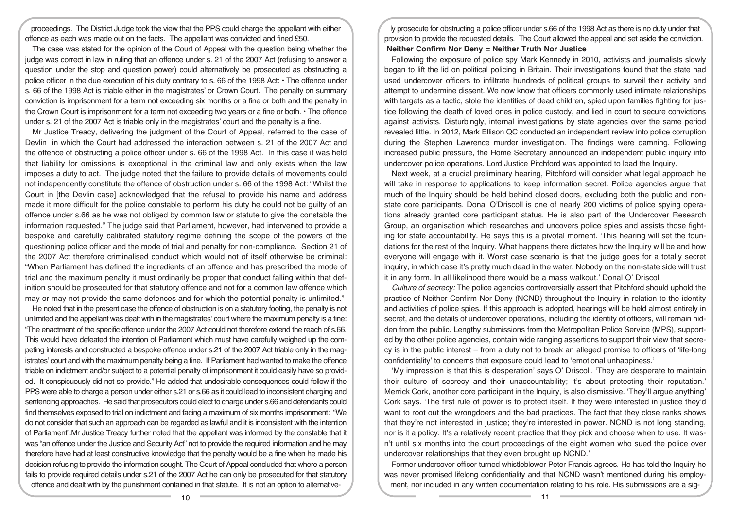proceedings. The District Judge took the view that the PPS could charge the appellant with either offence as each was made out on the facts. The appellant was convicted and fined £50.

The case was stated for the opinion of the Court of Appeal with the question being whether the judge was correct in law in ruling that an offence under s. 21 of the 2007 Act (refusing to answer a question under the stop and question power) could alternatively be prosecuted as obstructing a police officer in the due execution of his duty contrary to s. 66 of the 1998 Act: • The offence under s. 66 of the 1998 Act is triable either in the magistrates' or Crown Court. The penalty on summary conviction is imprisonment for a term not exceeding six months or a fine or both and the penalty in the Crown Court is imprisonment for a term not exceeding two years or a fine or both. • The offence under s. 21 of the 2007 Act is triable only in the magistrates' court and the penalty is a fine.

Mr Justice Treacy, delivering the judgment of the Court of Appeal, referred to the case of Devlin in which the Court had addressed the interaction between s. 21 of the 2007 Act and the offence of obstructing a police officer under s. 66 of the 1998 Act. In this case it was held that liability for omissions is exceptional in the criminal law and only exists when the law imposes a duty to act. The judge noted that the failure to provide details of movements could not independently constitute the offence of obstruction under s. 66 of the 1998 Act: "Whilst the Court in [the Devlin case] acknowledged that the refusal to provide his name and address made it more difficult for the police constable to perform his duty he could not be guilty of an offence under s.66 as he was not obliged by common law or statute to give the constable the information requested." The judge said that Parliament, however, had intervened to provide a bespoke and carefully calibrated statutory regime defining the scope of the powers of the questioning police officer and the mode of trial and penalty for non-compliance. Section 21 of the 2007 Act therefore criminalised conduct which would not of itself otherwise be criminal: "When Parliament has defined the ingredients of an offence and has prescribed the mode of trial and the maximum penalty it must ordinarily be proper that conduct falling within that definition should be prosecuted for that statutory offence and not for a common law offence which may or may not provide the same defences and for which the potential penalty is unlimited."

He noted that in the present case the offence of obstruction is on a statutory footing, the penalty is not unlimited and the appellant was dealt with in the magistrates' court where the maximum penalty is a fine: "The enactment of the specific offence under the 2007 Act could not therefore extend the reach of s.66. This would have defeated the intention of Parliament which must have carefully weighed up the competing interests and constructed a bespoke offence under s.21 of the 2007 Act triable only in the magistrates' court and with the maximum penalty being a fine. If Parliament had wanted to make the offence triable on indictment and/or subject to a potential penalty of imprisonment it could easily have so provided. It conspicuously did not so provide." He added that undesirable consequences could follow if the PPS were able to charge a person under either s.21 or s.66 as it could lead to inconsistent charging and sentencing approaches. He said that prosecutors could elect to charge under s.66 and defendants could find themselves exposed to trial on indictment and facing a maximum of six months imprisonment: "We do not consider that such an approach can be regarded as lawful and it is inconsistent with the intention of Parliament".Mr Justice Treacy further noted that the appellant was informed by the constable that it was "an offence under the Justice and Security Act" not to provide the required information and he may therefore have had at least constructive knowledge that the penalty would be a fine when he made his decision refusing to provide the information sought. The Court of Appeal concluded that where a person fails to provide required details under s.21 of the 2007 Act he can only be prosecuted for that statutory offence and dealt with by the punishment contained in that statute. It is not an option to alternative-

ly prosecute for obstructing a police officer under s.66 of the 1998 Act as there is no duty under that provision to provide the requested details. The Court allowed the appeal and set aside the conviction. **Neither Confirm Nor Deny = Neither Truth Nor Justice**

Following the exposure of police spy Mark Kennedy in 2010, activists and journalists slowly began to lift the lid on political policing in Britain. Their investigations found that the state had used undercover officers to infiltrate hundreds of political groups to surveil their activity and attempt to undermine dissent. We now know that officers commonly used intimate relationships with targets as a tactic, stole the identities of dead children, spied upon families fighting for justice following the death of loved ones in police custody, and lied in court to secure convictions against activists. Disturbingly, internal investigations by state agencies over the same period revealed little. In 2012, Mark Ellison QC conducted an independent review into police corruption during the Stephen Lawrence murder investigation. The findings were damning. Following increased public pressure, the Home Secretary announced an independent public inquiry into undercover police operations. Lord Justice Pitchford was appointed to lead the Inquiry.

Next week, at a crucial preliminary hearing, Pitchford will consider what legal approach he will take in response to applications to keep information secret. Police agencies argue that much of the Inquiry should be held behind closed doors, excluding both the public and nonstate core participants. Donal O'Driscoll is one of nearly 200 victims of police spying operations already granted core participant status. He is also part of the Undercover Research Group, an organisation which researches and uncovers police spies and assists those fighting for state accountability. He says this is a pivotal moment. 'This hearing will set the foundations for the rest of the Inquiry. What happens there dictates how the Inquiry will be and how everyone will engage with it. Worst case scenario is that the judge goes for a totally secret inquiry, in which case it's pretty much dead in the water. Nobody on the non-state side will trust it in any form. In all likelihood there would be a mass walkout.' Donal O' Driscoll

*Culture of secrecy:* The police agencies controversially assert that Pitchford should uphold the practice of Neither Confirm Nor Deny (NCND) throughout the Inquiry in relation to the identity and activities of police spies. If this approach is adopted, hearings will be held almost entirely in secret, and the details of undercover operations, including the identity of officers, will remain hidden from the public. Lengthy submissions from the Metropolitan Police Service (MPS), supported by the other police agencies, contain wide ranging assertions to support their view that secrecy is in the public interest – from a duty not to break an alleged promise to officers of 'life-long confidentiality' to concerns that exposure could lead to 'emotional unhappiness.'

'My impression is that this is desperation' says O' Driscoll. 'They are desperate to maintain their culture of secrecy and their unaccountability; it's about protecting their reputation.' Merrick Cork, another core participant in the Inquiry, is also dismissive. 'They'll argue anything' Cork says. 'The first rule of power is to protect itself. If they were interested in justice they'd want to root out the wrongdoers and the bad practices. The fact that they close ranks shows that they're not interested in justice; they're interested in power. NCND is not long standing, nor is it a policy. It's a relatively recent practice that they pick and choose when to use. It wasn't until six months into the court proceedings of the eight women who sued the police over undercover relationships that they even brought up NCND.'

Former undercover officer turned whistleblower Peter Francis agrees. He has told the Inquiry he was never promised lifelong confidentiality and that NCND wasn't mentioned during his employment, nor included in any written documentation relating to his role. His submissions are a sig-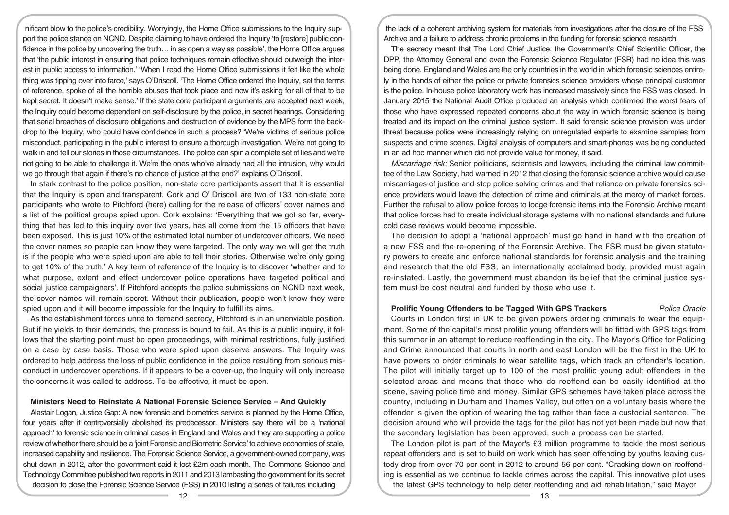nificant blow to the police's credibility. Worryingly, the Home Office submissions to the Inquiry support the police stance on NCND. Despite claiming to have ordered the Inquiry 'to [restore] public confidence in the police by uncovering the truth… in as open a way as possible', the Home Office argues that 'the public interest in ensuring that police techniques remain effective should outweigh the interest in public access to information.' 'When I read the Home Office submissions it felt like the whole thing was tipping over into farce,' says O'Driscoll. 'The Home Office ordered the Inquiry, set the terms of reference, spoke of all the horrible abuses that took place and now it's asking for all of that to be kept secret. It doesn't make sense.' If the state core participant arguments are accepted next week, the Inquiry could become dependent on self-disclosure by the police, in secret hearings. Considering that serial breaches of disclosure obligations and destruction of evidence by the MPS form the backdrop to the Inquiry, who could have confidence in such a process? 'We're victims of serious police misconduct, participating in the public interest to ensure a thorough investigation. We're not going to walk in and tell our stories in those circumstances. The police can spin a complete set of lies and we're not going to be able to challenge it. We're the ones who've already had all the intrusion, why would we go through that again if there's no chance of justice at the end?' explains O'Driscoll.

In stark contrast to the police position, non-state core participants assert that it is essential that the Inquiry is open and transparent. Cork and O' Driscoll are two of 133 non-state core participants who wrote to Pitchford (here) calling for the release of officers' cover names and a list of the political groups spied upon. Cork explains: 'Everything that we got so far, everything that has led to this inquiry over five years, has all come from the 15 officers that have been exposed. This is just 10% of the estimated total number of undercover officers. We need the cover names so people can know they were targeted. The only way we will get the truth is if the people who were spied upon are able to tell their stories. Otherwise we're only going to get 10% of the truth.' A key term of reference of the Inquiry is to discover 'whether and to what purpose, extent and effect undercover police operations have targeted political and social justice campaigners'. If Pitchford accepts the police submissions on NCND next week, the cover names will remain secret. Without their publication, people won't know they were spied upon and it will become impossible for the Inquiry to fulfill its aims.

As the establishment forces unite to demand secrecy, Pitchford is in an unenviable position. But if he yields to their demands, the process is bound to fail. As this is a public inquiry, it follows that the starting point must be open proceedings, with minimal restrictions, fully justified on a case by case basis. Those who were spied upon deserve answers. The Inquiry was ordered to help address the loss of public confidence in the police resulting from serious misconduct in undercover operations. If it appears to be a cover-up, the Inquiry will only increase the concerns it was called to address. To be effective, it must be open.

#### **Ministers Need to Reinstate A National Forensic Science Service – And Quickly**

Alastair Logan, Justice Gap: A new forensic and biometrics service is planned by the Home Office, four years after it controversially abolished its predecessor. Ministers say there will be a 'national approach' to forensic science in criminal cases in England and Wales and they are supporting a police review of whether there should be a 'joint Forensic and Biometric Service' to achieve economies of scale, increased capability and resilience. The Forensic Science Service, a government-owned company, was shut down in 2012, after the government said it lost £2m each month. The Commons Science and Technology Committee published two reports in 2011 and 2013 lambasting the government forits secret decision to close the Forensic Science Service (FSS) in 2010 listing a series of failures including

the lack of a coherent archiving system for materials from investigations after the closure of the FSS Archive and a failure to address chronic problems in the funding for forensic science research.

The secrecy meant that The Lord Chief Justice, the Government's Chief Scientific Officer, the DPP, the Attorney General and even the Forensic Science Regulator (FSR) had no idea this was being done. England and Wales are the only countries in the world in which forensic sciences entirely in the hands of either the police or private forensics science providers whose principal customer is the police. In-house police laboratory work has increased massively since the FSS was closed. In January 2015 the National Audit Office produced an analysis which confirmed the worst fears of those who have expressed repeated concerns about the way in which forensic science is being treated and its impact on the criminal justice system. It said forensic science provision was under threat because police were increasingly relying on unregulated experts to examine samples from suspects and crime scenes. Digital analysis of computers and smart-phones was being conducted in an ad hoc manner which did not provide value for money, it said.

*Miscarriage risk:* Senior politicians, scientists and lawyers, including the criminal law committee of the Law Society, had warned in 2012 that closing the forensic science archive would cause miscarriages of justice and stop police solving crimes and that reliance on private forensics science providers would leave the detection of crime and criminals at the mercy of market forces. Further the refusal to allow police forces to lodge forensic items into the Forensic Archive meant that police forces had to create individual storage systems with no national standards and future cold case reviews would become impossible.

The decision to adopt a 'national approach' must go hand in hand with the creation of a new FSS and the re-opening of the Forensic Archive. The FSR must be given statutory powers to create and enforce national standards for forensic analysis and the training and research that the old FSS, an internationally acclaimed body, provided must again re-instated. Lastly, the government must abandon its belief that the criminal justice system must be cost neutral and funded by those who use it.

**Prolific Young Offenders to be Tagged With GPS Trackers** *Police Oracle*

Courts in London first in UK to be given powers ordering criminals to wear the equipment. Some of the capital's most prolific young offenders will be fitted with GPS tags from this summer in an attempt to reduce reoffending in the city. The Mayor's Office for Policing and Crime announced that courts in north and east London will be the first in the UK to have powers to order criminals to wear satellite tags, which track an offender's location. The pilot will initially target up to 100 of the most prolific young adult offenders in the selected areas and means that those who do reoffend can be easily identified at the scene, saving police time and money. Similar GPS schemes have taken place across the country, including in Durham and Thames Valley, but often on a voluntary basis where the offender is given the option of wearing the tag rather than face a custodial sentence. The decision around who will provide the tags for the pilot has not yet been made but now that the secondary legislation has been approved, such a process can be started.

The London pilot is part of the Mayor's £3 million programme to tackle the most serious repeat offenders and is set to build on work which has seen offending by youths leaving custody drop from over 70 per cent in 2012 to around 56 per cent. "Cracking down on reoffending is essential as we continue to tackle crimes across the capital. This innovative pilot uses the latest GPS technology to help deter reoffending and aid rehabiliitation," said Mayor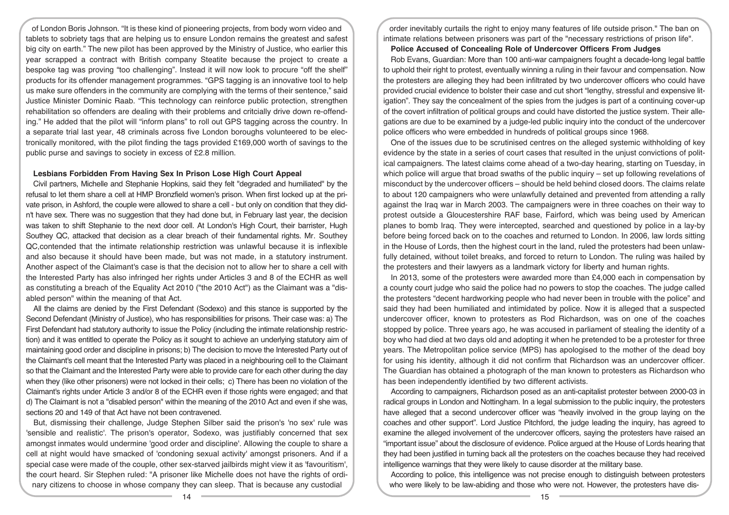of London Boris Johnson. "It is these kind of pioneering projects, from body worn video and tablets to sobriety tags that are helping us to ensure London remains the greatest and safest big city on earth." The new pilot has been approved by the Ministry of Justice, who earlier this year scrapped a contract with British company Steatite because the project to create a bespoke tag was proving "too challenging". Instead it will now look to procure "off the shelf" products for its offender management programmes. "GPS tagging is an innovative tool to help us make sure offenders in the community are complying with the terms of their sentence," said Justice Minister Dominic Raab. "This technology can reinforce public protection, strengthen rehabilitation so offenders are dealing with their problems and critcially drive down re-offending." He added that the pilot will "inform plans" to roll out GPS tagging across the country. In a separate trial last year, 48 criminals across five London boroughs volunteered to be electronically monitored, with the pilot finding the tags provided £169,000 worth of savings to the public purse and savings to society in excess of £2.8 million.

## **Lesbians Forbidden From Having Sex In Prison Lose High Court Appeal**

Civil partners, Michelle and Stephanie Hopkins, said they felt "degraded and humiliated" by the refusal to let them share a cell at HMP Bronzfield women's prison. When first locked up at the private prison, in Ashford, the couple were allowed to share a cell - but only on condition that they didn't have sex. There was no suggestion that they had done but, in February last year, the decision was taken to shift Stephanie to the next door cell. At London's High Court, their barrister, Hugh Southey QC, attacked that decision as a clear breach of their fundamental rights. Mr. Southey QC,contended that the intimate relationship restriction was unlawful because it is inflexible and also because it should have been made, but was not made, in a statutory instrument. Another aspect of the Claimant's case is that the decision not to allow her to share a cell with the Interested Party has also infringed her rights under Articles 3 and 8 of the ECHR as well as constituting a breach of the Equality Act 2010 ("the 2010 Act") as the Claimant was a "disabled person" within the meaning of that Act.

All the claims are denied by the First Defendant (Sodexo) and this stance is supported by the Second Defendant (Ministry of Justice), who has responsibilities for prisons. Their case was: a) The First Defendant had statutory authority to issue the Policy (including the intimate relationship restriction) and it was entitled to operate the Policy as it sought to achieve an underlying statutory aim of maintaining good order and discipline in prisons; b) The decision to move the Interested Party out of the Claimant's cell meant that the Interested Party was placed in a neighbouring cell to the Claimant so that the Claimant and the Interested Party were able to provide care for each other during the day when they (like other prisoners) were not locked in their cells; c) There has been no violation of the Claimant's rights under Article 3 and/or 8 of the ECHR even if those rights were engaged; and that d) The Claimant is not a "disabled person" within the meaning of the 2010 Act and even if she was, sections 20 and 149 of that Act have not been contravened.

But, dismissing their challenge, Judge Stephen Silber said the prison's 'no sex' rule was 'sensible and realistic'. The prison's operator, Sodexo, was justifiably concerned that sex amongst inmates would undermine 'good order and discipline'. Allowing the couple to share a cell at night would have smacked of 'condoning sexual activity' amongst prisoners. And if a special case were made of the couple, other sex-starved jailbirds might view it as 'favouritism', the court heard. Sir Stephen ruled: "A prisoner like Michelle does not have the rights of ordinary citizens to choose in whose company they can sleep. That is because any custodial

order inevitably curtails the right to enjoy many features of life outside prison." The ban on intimate relations between prisoners was part of the "necessary restrictions of prison life".

#### **Police Accused of Concealing Role of Undercover Officers From Judges**

Rob Evans, Guardian: More than 100 anti-war campaigners fought a decade-long legal battle to uphold their right to protest, eventually winning a ruling in their favour and compensation. Now the protesters are alleging they had been infiltrated by two undercover officers who could have provided crucial evidence to bolster their case and cut short "lengthy, stressful and expensive litigation". They say the concealment of the spies from the judges is part of a continuing cover-up of the covert infiltration of political groups and could have distorted the justice system. Their allegations are due to be examined by a judge-led public inquiry into the conduct of the undercover police officers who were embedded in hundreds of political groups since 1968.

One of the issues due to be scrutinised centres on the alleged systemic withholding of key evidence by the state in a series of court cases that resulted in the unjust convictions of political campaigners. The latest claims come ahead of a two-day hearing, starting on Tuesday, in which police will argue that broad swaths of the public inquiry – set up following revelations of misconduct by the undercover officers – should be held behind closed doors. The claims relate to about 120 campaigners who were unlawfully detained and prevented from attending a rally against the Iraq war in March 2003. The campaigners were in three coaches on their way to protest outside a Gloucestershire RAF base, Fairford, which was being used by American planes to bomb Iraq. They were intercepted, searched and questioned by police in a lay-by before being forced back on to the coaches and returned to London. In 2006, law lords sitting in the House of Lords, then the highest court in the land, ruled the protesters had been unlawfully detained, without toilet breaks, and forced to return to London. The ruling was hailed by the protesters and their lawyers as a landmark victory for liberty and human rights.

In 2013, some of the protesters were awarded more than £4,000 each in compensation by a county court judge who said the police had no powers to stop the coaches. The judge called the protesters "decent hardworking people who had never been in trouble with the police" and said they had been humiliated and intimidated by police. Now it is alleged that a suspected undercover officer, known to protesters as Rod Richardson, was on one of the coaches stopped by police. Three years ago, he was accused in parliament of stealing the identity of a boy who had died at two days old and adopting it when he pretended to be a protester for three years. The Metropolitan police service (MPS) has apologised to the mother of the dead boy for using his identity, although it did not confirm that Richardson was an undercover officer. The Guardian has obtained a photograph of the man known to protesters as Richardson who has been independently identified by two different activists.

According to campaigners, Richardson posed as an anti-capitalist protester between 2000-03 in radical groups in London and Nottingham. In a legal submission to the public inquiry, the protesters have alleged that a second undercover officer was "heavily involved in the group laying on the coaches and other support". Lord Justice Pitchford, the judge leading the inquiry, has agreed to examine the alleged involvement of the undercover officers, saying the protesters have raised an "important issue" about the disclosure of evidence. Police argued at the House of Lords hearing that they had been justified in turning back all the protesters on the coaches because they had received intelligence warnings that they were likely to cause disorder at the military base.

According to police, this intelligence was not precise enough to distinguish between protesters who were likely to be law-abiding and those who were not. However, the protesters have dis-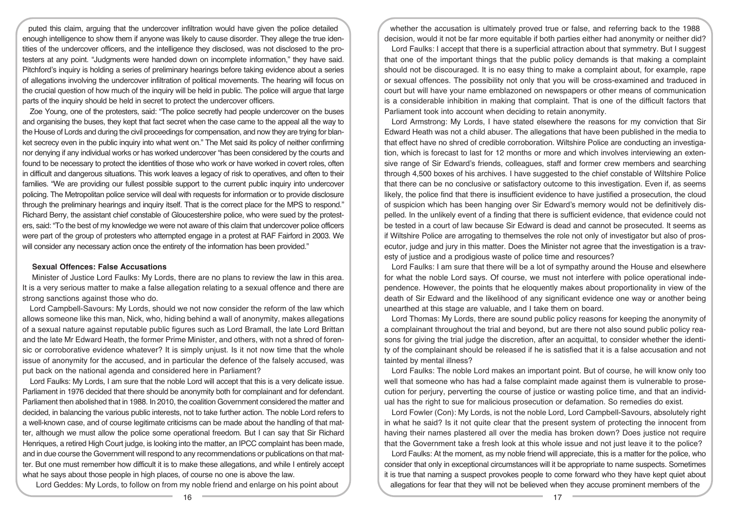puted this claim, arguing that the undercover infiltration would have given the police detailed enough intelligence to show them if anyone was likely to cause disorder. They allege the true identities of the undercover officers, and the intelligence they disclosed, was not disclosed to the protesters at any point. "Judgments were handed down on incomplete information," they have said. Pitchford's inquiry is holding a series of preliminary hearings before taking evidence about a series of allegations involving the undercover infiltration of political movements. The hearing will focus on the crucial question of how much of the inquiry will be held in public. The police will argue that large parts of the inquiry should be held in secret to protect the undercover officers.

Zoe Young, one of the protesters, said: "The police secretly had people undercover on the buses and organising the buses, they kept that fact secret when the case came to the appeal all the way to the House of Lords and during the civil proceedings for compensation, and now they are trying for blanket secrecy even in the public inquiry into what went on." The Met said its policy of neither confirming nor denying if any individual works or has worked undercover "has been considered by the courts and found to be necessary to protect the identities of those who work or have worked in covert roles, often in difficult and dangerous situations. This work leaves a legacy of risk to operatives, and often to their families. "We are providing our fullest possible support to the current public inquiry into undercover policing. The Metropolitan police service will deal with requests for information or to provide disclosure through the preliminary hearings and inquiry itself. That is the correct place for the MPS to respond." Richard Berry, the assistant chief constable of Gloucestershire police, who were sued by the protesters, said: "To the best of my knowledge we were not aware of this claim that undercover police officers were part of the group of protesters who attempted engage in a protest at RAF Fairford in 2003. We will consider any necessary action once the entirety of the information has been provided."

# **Sexual Offences: False Accusations**

Minister of Justice Lord Faulks: My Lords, there are no plans to review the law in this area. It is a very serious matter to make a false allegation relating to a sexual offence and there are strong sanctions against those who do.

Lord Campbell-Savours: My Lords, should we not now consider the reform of the law which allows someone like this man, Nick, who, hiding behind a wall of anonymity, makes allegations of a sexual nature against reputable public figures such as Lord Bramall, the late Lord Brittan and the late Mr Edward Heath, the former Prime Minister, and others, with not a shred of forensic or corroborative evidence whatever? It is simply unjust. Is it not now time that the whole issue of anonymity for the accused, and in particular the defence of the falsely accused, was put back on the national agenda and considered here in Parliament?

Lord Faulks: My Lords, I am sure that the noble Lord will accept that this is a very delicate issue. Parliament in 1976 decided that there should be anonymity both for complainant and for defendant. Parliament then abolished that in 1988. In 2010, the coalition Government considered the matter and decided, in balancing the various public interests, not to take further action. The noble Lord refers to a well-known case, and of course legitimate criticisms can be made about the handling of that matter, although we must allow the police some operational freedom. But I can say that Sir Richard Henriques, a retired High Court judge, is looking into the matter, an IPCC complaint has been made, and in due course the Government will respond to any recommendations or publications on that matter. But one must remember how difficult it is to make these allegations, and while I entirely accept what he says about those people in high places, of course no one is above the law.

Lord Geddes: My Lords, to follow on from my noble friend and enlarge on his point about

whether the accusation is ultimately proved true or false, and referring back to the 1988 decision, would it not be far more equitable if both parties either had anonymity or neither did?

Lord Faulks: I accept that there is a superficial attraction about that symmetry. But I suggest that one of the important things that the public policy demands is that making a complaint should not be discouraged. It is no easy thing to make a complaint about, for example, rape or sexual offences. The possibility not only that you will be cross-examined and traduced in court but will have your name emblazoned on newspapers or other means of communication is a considerable inhibition in making that complaint. That is one of the difficult factors that Parliament took into account when deciding to retain anonymity.

Lord Armstrong: My Lords, I have stated elsewhere the reasons for my conviction that Sir Edward Heath was not a child abuser. The allegations that have been published in the media to that effect have no shred of credible corroboration. Wiltshire Police are conducting an investigation, which is forecast to last for 12 months or more and which involves interviewing an extensive range of Sir Edward's friends, colleagues, staff and former crew members and searching through 4,500 boxes of his archives. I have suggested to the chief constable of Wiltshire Police that there can be no conclusive or satisfactory outcome to this investigation. Even if, as seems likely, the police find that there is insufficient evidence to have justified a prosecution, the cloud of suspicion which has been hanging over Sir Edward's memory would not be definitively dispelled. In the unlikely event of a finding that there is sufficient evidence, that evidence could not be tested in a court of law because Sir Edward is dead and cannot be prosecuted. It seems as if Wiltshire Police are arrogating to themselves the role not only of investigator but also of prosecutor, judge and jury in this matter. Does the Minister not agree that the investigation is a travesty of justice and a prodigious waste of police time and resources?

Lord Faulks: I am sure that there will be a lot of sympathy around the House and elsewhere for what the noble Lord says. Of course, we must not interfere with police operational independence. However, the points that he eloquently makes about proportionality in view of the death of Sir Edward and the likelihood of any significant evidence one way or another being unearthed at this stage are valuable, and I take them on board.

Lord Thomas: My Lords, there are sound public policy reasons for keeping the anonymity of a complainant throughout the trial and beyond, but are there not also sound public policy reasons for giving the trial judge the discretion, after an acquittal, to consider whether the identity of the complainant should be released if he is satisfied that it is a false accusation and not tainted by mental illness?

Lord Faulks: The noble Lord makes an important point. But of course, he will know only too well that someone who has had a false complaint made against them is vulnerable to prosecution for perjury, perverting the course of justice or wasting police time, and that an individual has the right to sue for malicious prosecution or defamation. So remedies do exist.

Lord Fowler (Con): My Lords, is not the noble Lord, Lord Campbell-Savours, absolutely right in what he said? Is it not quite clear that the present system of protecting the innocent from having their names plastered all over the media has broken down? Does justice not require that the Government take a fresh look at this whole issue and not just leave it to the police?

Lord Faulks: At the moment, as my noble friend will appreciate, this is a matter for the police, who consider that only in exceptional circumstances will it be appropriate to name suspects. Sometimes it is true that naming a suspect provokes people to come forward who they have kept quiet about allegations for fear that they will not be believed when they accuse prominent members of the